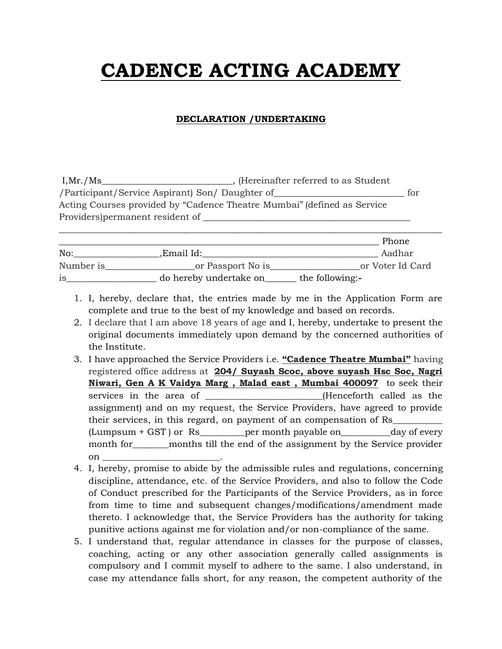## **CADENCE ACTING ACADEMY**

## **DECLARATION /UNDERTAKING**

| , (Hereinafter referred to as Student<br>I, Mr. / Ms                    |     |
|-------------------------------------------------------------------------|-----|
| /Participant/Service Aspirant) Son/ Daughter of                         | tor |
| Acting Courses provided by "Cadence Theatre Mumbai" (defined as Service |     |
| Providers) permanent resident of                                        |     |
|                                                                         |     |

|           |                        | Phone            |
|-----------|------------------------|------------------|
| No:       | .Email Id:             | Aadhar           |
| Number is | _or Passport No is_    | or Voter Id Card |
| is        | do hereby undertake on | the following:-  |

- 1. I, hereby, declare that, the entries made by me in the Application Form are complete and true to the best of my knowledge and based on records.
- 2. I declare that I am above 18 years of age and I, hereby, undertake to present the original documents immediately upon demand by the concerned authorities of the Institute.
- 3. I have approached the Service Providers i.e. **"Cadence Theatre Mumbai"** having registered office address at **204/ Suyash Scoc, above suyash Hsc Soc, Nagri Niwari, Gen A K Vaidya Marg , Malad east , Mumbai 400097** to seek their services in the area of \_\_\_\_\_\_\_\_\_\_\_\_\_\_\_\_\_\_\_\_\_(Henceforth called as the assignment) and on my request, the Service Providers, have agreed to provide their services, in this regard, on payment of an compensation of Rs\_\_\_\_\_\_\_\_\_\_\_ (Lumpsum + GST ) or Rs\_\_\_\_\_\_\_\_\_\_per month payable on\_\_\_\_\_\_\_\_\_\_\_day of every month for <u>equilibrative</u> months till the end of the assignment by the Service provider on  $\Box$
- 4. I, hereby, promise to abide by the admissible rules and regulations, concerning discipline, attendance, etc. of the Service Providers, and also to follow the Code of Conduct prescribed for the Participants of the Service Providers, as in force from time to time and subsequent changes/modifications/amendment made thereto. I acknowledge that, the Service Providers has the authority for taking punitive actions against me for violation and/or non-compliance of the same.
- 5. I understand that, regular attendance in classes for the purpose of classes, coaching, acting or any other association generally called assignments is compulsory and I commit myself to adhere to the same. I also understand, in case my attendance falls short, for any reason, the competent authority of the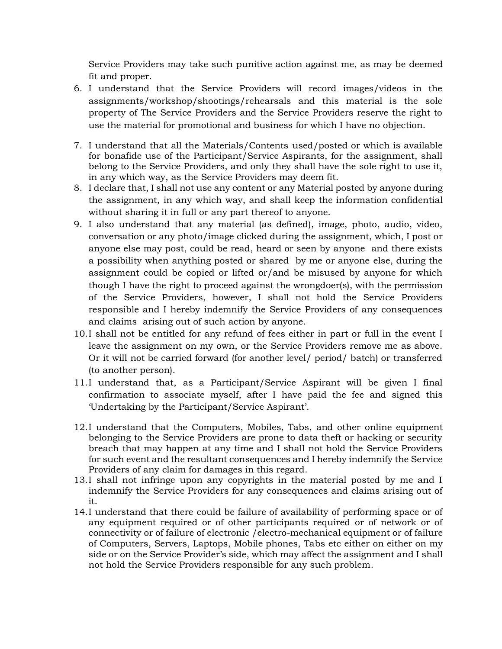Service Providers may take such punitive action against me, as may be deemed fit and proper.

- 6. I understand that the Service Providers will record images/videos in the assignments/workshop/shootings/rehearsals and this material is the sole property of The Service Providers and the Service Providers reserve the right to use the material for promotional and business for which I have no objection.
- 7. I understand that all the Materials/Contents used/posted or which is available for bonafide use of the Participant/Service Aspirants, for the assignment, shall belong to the Service Providers, and only they shall have the sole right to use it, in any which way, as the Service Providers may deem fit.
- 8. I declare that, I shall not use any content or any Material posted by anyone during the assignment, in any which way, and shall keep the information confidential without sharing it in full or any part thereof to anyone.
- 9. I also understand that any material (as defined), image, photo, audio, video, conversation or any photo/image clicked during the assignment, which, I post or anyone else may post, could be read, heard or seen by anyone and there exists a possibility when anything posted or shared by me or anyone else, during the assignment could be copied or lifted or/and be misused by anyone for which though I have the right to proceed against the wrongdoer(s), with the permission of the Service Providers, however, I shall not hold the Service Providers responsible and I hereby indemnify the Service Providers of any consequences and claims arising out of such action by anyone.
- 10.I shall not be entitled for any refund of fees either in part or full in the event I leave the assignment on my own, or the Service Providers remove me as above. Or it will not be carried forward (for another level/ period/ batch) or transferred (to another person).
- 11.I understand that, as a Participant/Service Aspirant will be given I final confirmation to associate myself, after I have paid the fee and signed this 'Undertaking by the Participant/Service Aspirant'.
- 12.I understand that the Computers, Mobiles, Tabs, and other online equipment belonging to the Service Providers are prone to data theft or hacking or security breach that may happen at any time and I shall not hold the Service Providers for such event and the resultant consequences and I hereby indemnify the Service Providers of any claim for damages in this regard.
- 13.I shall not infringe upon any copyrights in the material posted by me and I indemnify the Service Providers for any consequences and claims arising out of it.
- 14.I understand that there could be failure of availability of performing space or of any equipment required or of other participants required or of network or of connectivity or of failure of electronic /electro-mechanical equipment or of failure of Computers, Servers, Laptops, Mobile phones, Tabs etc either on either on my side or on the Service Provider's side, which may affect the assignment and I shall not hold the Service Providers responsible for any such problem.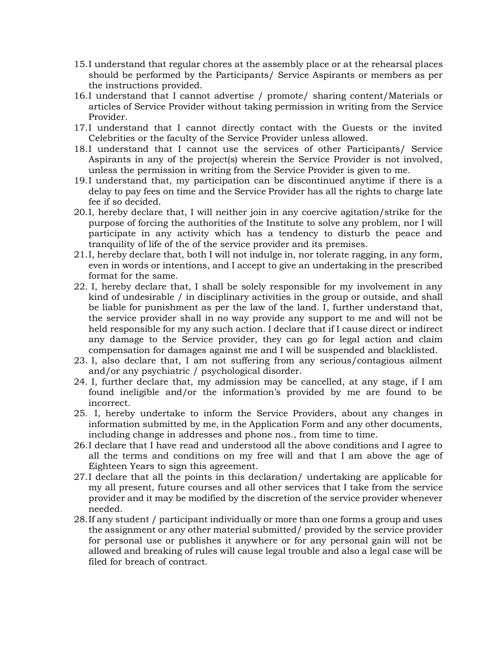- 15.I understand that regular chores at the assembly place or at the rehearsal places should be performed by the Participants/ Service Aspirants or members as per the instructions provided.
- 16.I understand that I cannot advertise / promote/ sharing content/Materials or articles of Service Provider without taking permission in writing from the Service Provider.
- 17.I understand that I cannot directly contact with the Guests or the invited Celebrities or the faculty of the Service Provider unless allowed.
- 18.I understand that I cannot use the services of other Participants/ Service Aspirants in any of the project(s) wherein the Service Provider is not involved, unless the permission in writing from the Service Provider is given to me.
- 19.I understand that, my participation can be discontinued anytime if there is a delay to pay fees on time and the Service Provider has all the rights to charge late fee if so decided.
- 20.I, hereby declare that, I will neither join in any coercive agitation/strike for the purpose of forcing the authorities of the Institute to solve any problem, nor I will participate in any activity which has a tendency to disturb the peace and tranquility of life of the of the service provider and its premises.
- 21.I, hereby declare that, both I will not indulge in, nor tolerate ragging, in any form, even in words or intentions, and I accept to give an undertaking in the prescribed format for the same.
- 22. I, hereby declare that, I shall be solely responsible for my involvement in any kind of undesirable / in disciplinary activities in the group or outside, and shall be liable for punishment as per the law of the land. I, further understand that, the service provider shall in no way provide any support to me and will not be held responsible for my any such action. I declare that if I cause direct or indirect any damage to the Service provider, they can go for legal action and claim compensation for damages against me and I will be suspended and blacklisted.
- 23. I, also declare that, I am not suffering from any serious/contagious ailment and/or any psychiatric / psychological disorder.
- 24. I, further declare that, my admission may be cancelled, at any stage, if I am found ineligible and/or the information's provided by me are found to be incorrect.
- 25. I, hereby undertake to inform the Service Providers, about any changes in information submitted by me, in the Application Form and any other documents, including change in addresses and phone nos., from time to time.
- 26.I declare that I have read and understood all the above conditions and I agree to all the terms and conditions on my free will and that I am above the age of Eighteen Years to sign this agreement.
- 27.I declare that all the points in this declaration/ undertaking are applicable for my all present, future courses and all other services that I take from the service provider and it may be modified by the discretion of the service provider whenever needed.
- 28.If any student / participant individually or more than one forms a group and uses the assignment or any other material submitted/ provided by the service provider for personal use or publishes it anywhere or for any personal gain will not be allowed and breaking of rules will cause legal trouble and also a legal case will be filed for breach of contract.